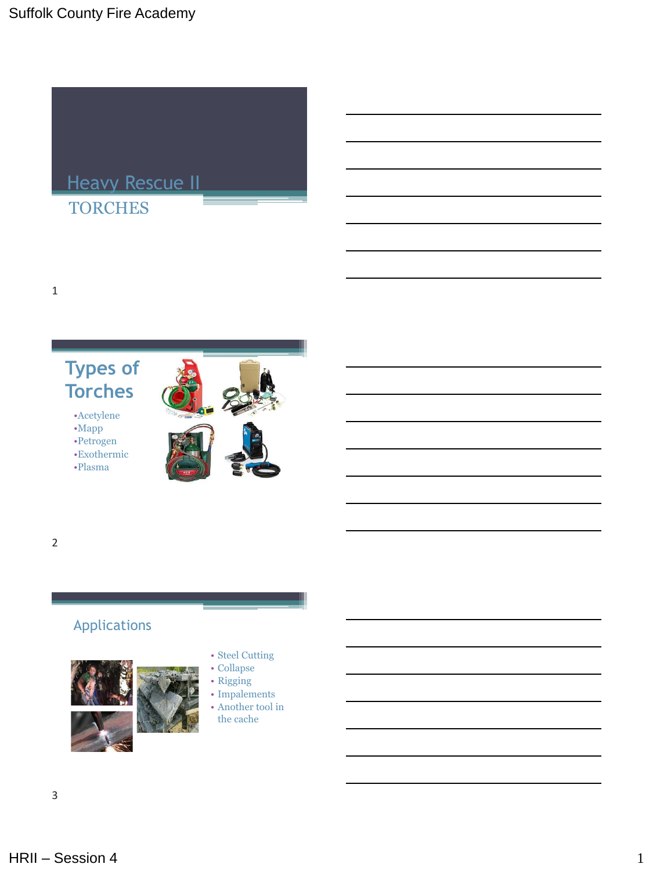

#### **Types of Torches**

•Acetylene •Mapp •Petrogen •Exothermic •Plasma





1

## Applications



#### • Steel Cutting

- Collapse
- Rigging
- Impalements
- Another tool in the cache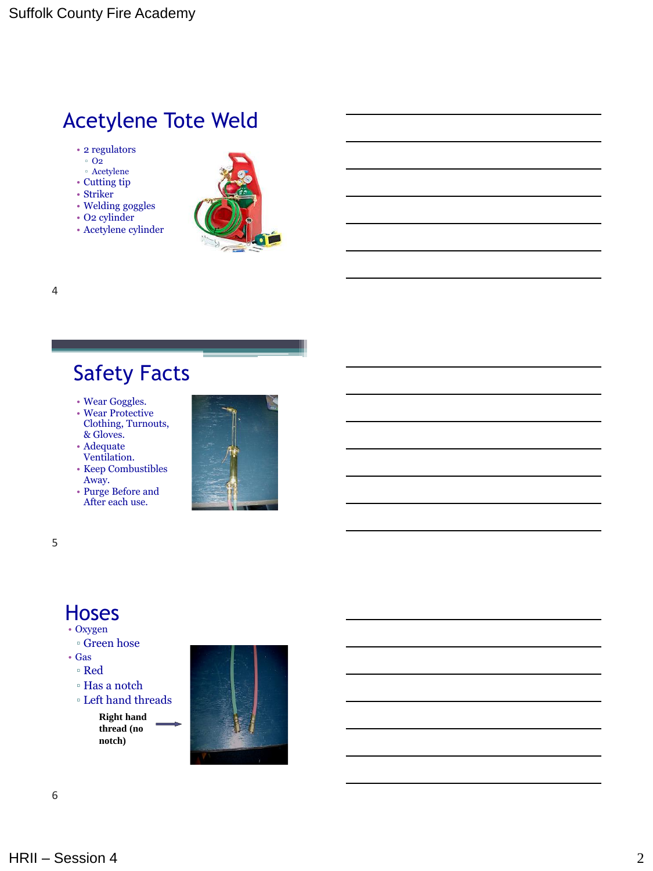### Acetylene Tote Weld

- 2 regulators
- $^{\circ}$  O<sub>2</sub>
- Acetylene
- Cutting tip
- Striker
- Welding goggles
- O2 cylinder
- Acetylene cylinder



## Safety Facts

- Wear Goggles.
- Wear Protective Clothing, Turnouts, & Gloves.
- Adequate
- Ventilation.
- Keep Combustibles Away.
- Purge Before and After each use.



5

4

## Hoses

- Oxygen
	- Green hose
- Gas
- Red
- Has a notch
- Left hand threads

**Right hand thread (no notch)**

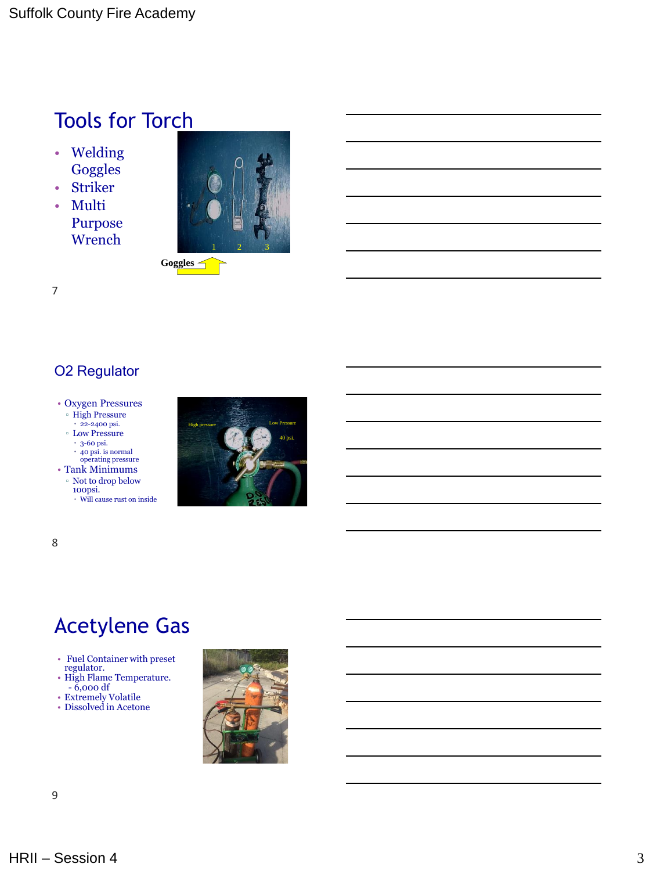## Tools for Torch

- Welding **Goggles**
- Striker
- Multi Purpose **Wrench**

7



#### O2 Regulator

#### • Oxygen Pressures

▫ High Pressure

 $\cdot$  22-2400 psi. ▫ Low Pressure

 $\cdot\,$  3-60 psi.

40 psi. is normal operating pressure

• Tank Minimums

 $\,^{\circ}$  Not to drop below 100psi. Will cause rust on inside



8

## Acetylene Gas

- Fuel Container with preset regulator.
- High Flame Temperature.
- 6,000 df • Extremely Volatile
- Dissolved in Acetone

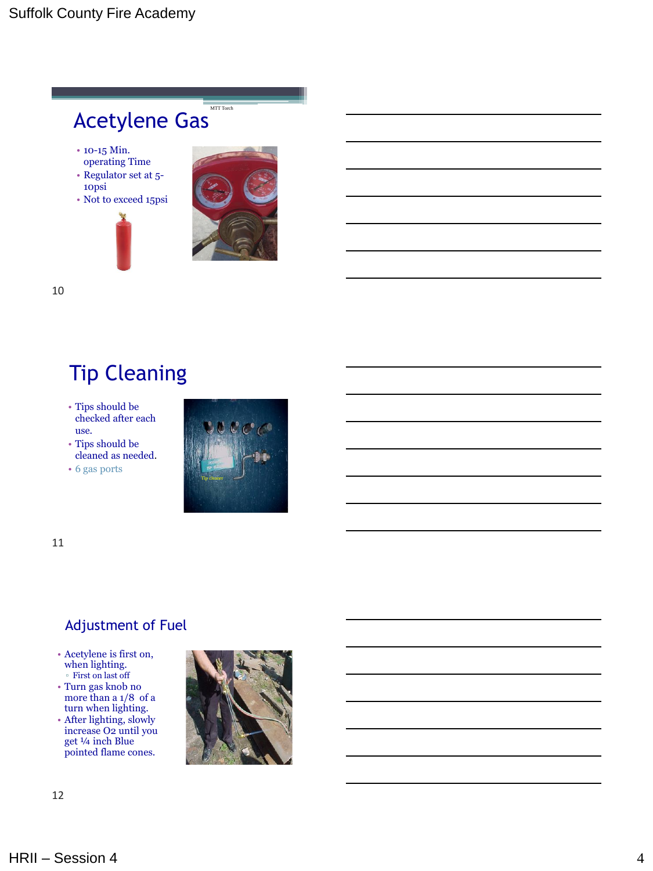#### Acetylene Gas MTT Torch

- 10-15 Min. operating Time
- Regulator set at 5-
- 10psi
- Not to exceed 15psi





10

## Tip Cleaning

• Tips should be checked after each use.

• Tips should be cleaned as needed.

• 6 gas ports



11

#### Adjustment of Fuel

- Acetylene is first on, when lighting. ▫ First on last off
- Turn gas knob no more than a 1/8 of a turn when lighting.
- After lighting, slowly increase O2 until you get ¼ inch Blue pointed flame cones.

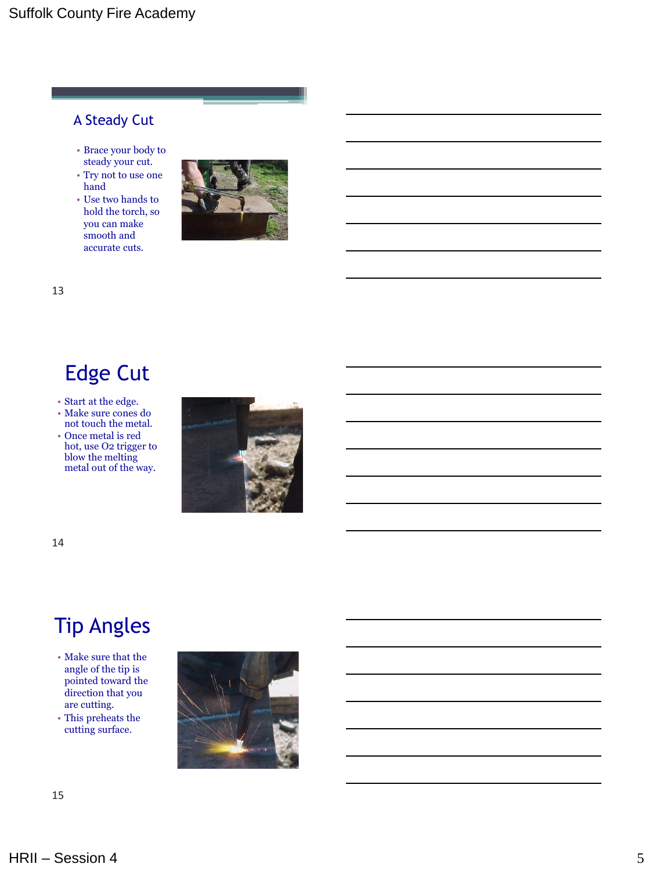#### A Steady Cut

- Brace your body to steady your cut.
- Try not to use one hand
- Use two hands to hold the torch, so you can make smooth and accurate cuts.



13

## Edge Cut

• Start at the edge.

- Make sure cones do not touch the metal.
- Once metal is red hot, use O2 trigger to blow the melting metal out of the way.



14

## Tip Angles

- Make sure that the angle of the tip is pointed toward the direction that you are cutting.
- This preheats the cutting surface.

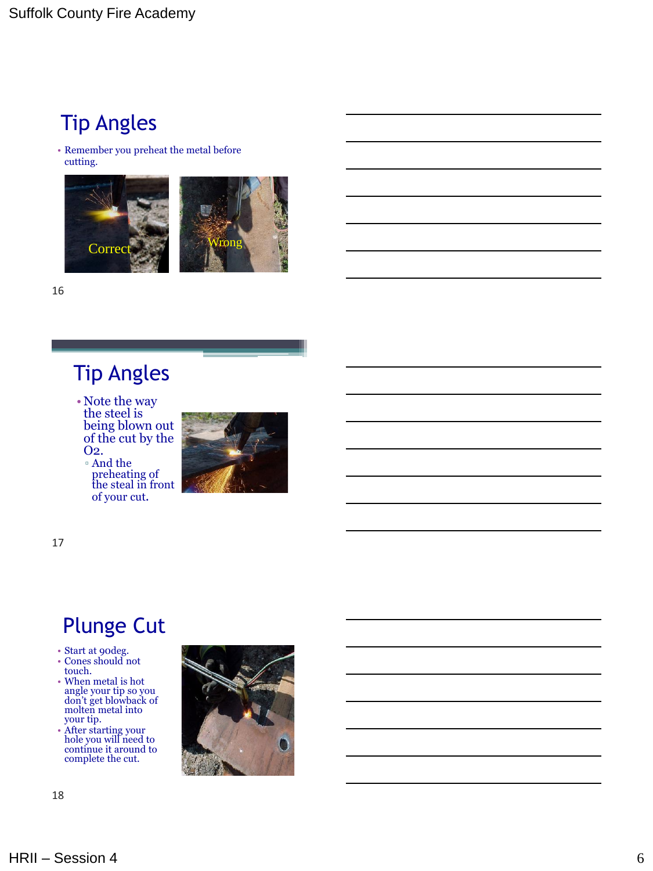## Tip Angles

• Remember you preheat the metal before cutting.



16

## Tip Angles

• Note the way the steel is being blown out of the cut by the O2.

▫ And the preheating of the steal in front of your cut .



17

## Plunge Cut

- Start at 90deg.
- Cones should not touch.
- When metal is hot angle your tip so you don't get blowback of molten metal into your tip.
- After starting your hole you will need to continue it around to complete the cut.

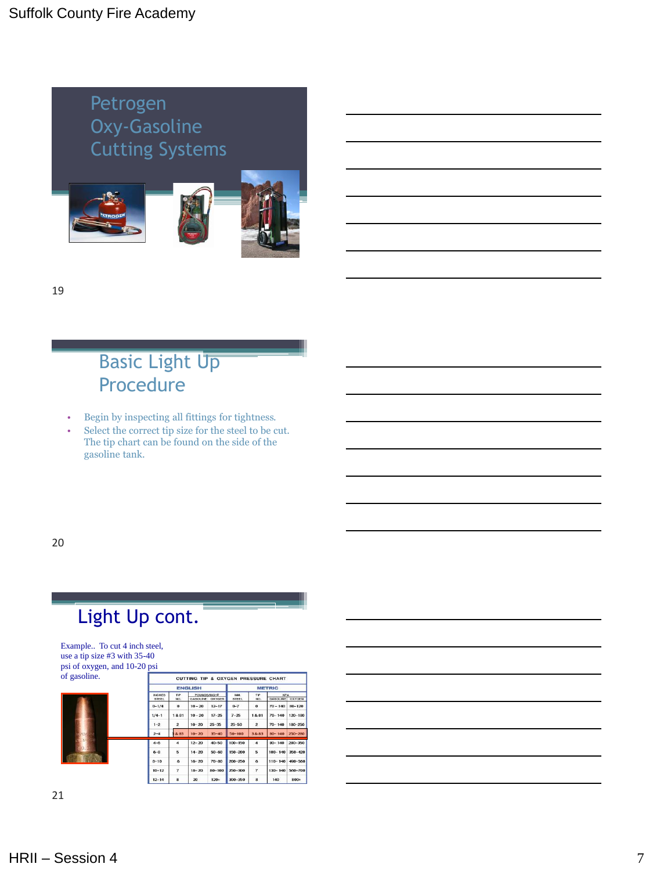

19

#### **Basic Light Up** Procedure

- Begin by inspecting all fittings for tightness.
- Select the correct tip size for the steel to be cut. The tip chart can be found on the side of the gasoline tank.

20

## Light Up cont.

Example.. To cut 4 inch steel, use a tip size #3 with 35-40 psi of oxygen, and 10-20 psi of gasoline.

| л gasonne.<br>1.47674010<br><b>12072-01-1211</b><br>up. | <b>CUTTING TIP &amp; OXYGEN PRESSURE CHART</b> |                         |                                   |            |                     |                |                                  |             |
|---------------------------------------------------------|------------------------------------------------|-------------------------|-----------------------------------|------------|---------------------|----------------|----------------------------------|-------------|
|                                                         | <b>ENGLISH</b>                                 |                         |                                   |            | <b>METRIC</b>       |                |                                  |             |
|                                                         | <b>INCHES</b><br><b>STEEL</b>                  | TIP<br>NO.              | POUNDBANCH2<br>GASOLINE<br>OXYGEN |            | MM.<br><b>STEEL</b> | TIP<br>NO.     | KPA<br><b>OXYGEN</b><br>GASOLINE |             |
|                                                         | $0 - 1/4$                                      | $\mathbf{o}$            | $10 - 20$                         | $12 - 17$  | $0 - 7$             | $\mathbf{o}$   | $70 - 140$                       | $80 - 120$  |
|                                                         | $1/4 - 1$                                      | 1&81                    | $10 - 20$                         | $17 - 25$  | $7 - 25$            | 1&81           | $70 - 140$                       | $120 - 180$ |
|                                                         | $1 - 2$                                        | $\overline{z}$          | $10 - 20$                         | $25 - 35$  | $25 - 50$           | $\mathbf{2}$   | $70 - 140$                       | 180-250     |
|                                                         | $2 - 4$                                        | 3 & 83                  | $10 - 20$                         | $35 - 40$  | $50 - 100$          | 3&83           | $80 - 140$                       | 250-280     |
|                                                         | $4 - 6$                                        | 4                       | $12 - 20$                         | $40 - 50$  | $100 - 150$         | 4              | $80 - 140$                       | $280 - 350$ |
|                                                         | $6 - 8$                                        | 5                       | $14 - 20$                         | $50 - 60$  | 150-200             | 5              | $100 - 140$                      | $350 - 420$ |
|                                                         | $8 - 10$                                       | 6                       | $16 - 20$                         | 70-80      | 200-250             | 6              | $110 - 140$                      | 490-560     |
|                                                         | $10 - 12$                                      | 7                       | $18 - 20$                         | $80 - 100$ | 250-300             | $\overline{ }$ | $130 - 140$                      | 560-700     |
|                                                         | $12 - 14$                                      | $\overline{\mathbf{8}}$ | 20                                | $120+$     | 300-350             | 8              | 140                              | 800+        |
|                                                         |                                                |                         |                                   |            |                     |                |                                  |             |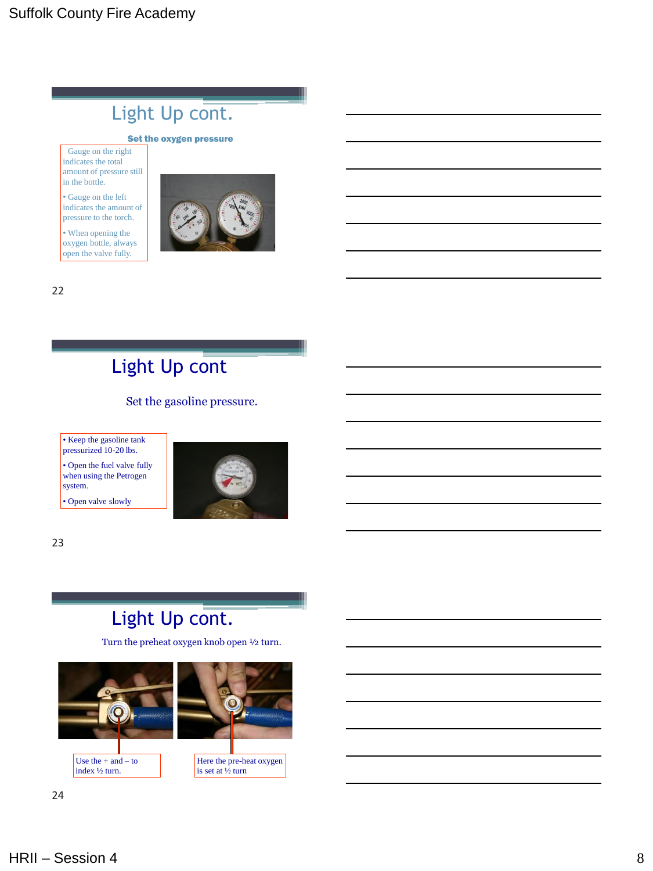## Light Up cont.

#### Set the oxygen pressure

Gauge on the right indicates the total amount of pressure still in the bottle.

• Gauge on the left indicates the amount of pressure to the torch.

• When opening the oxygen bottle, always open the valve fully.



22

## Light Up cont.

Set the gasoline pressure.

• Keep the gasoline tank pressurized 10-20 lbs.

• Open the fuel valve fully when using the Petrogen system.

• Open valve slowly



23

## Light Up cont.

Turn the preheat oxygen knob open ½ turn.

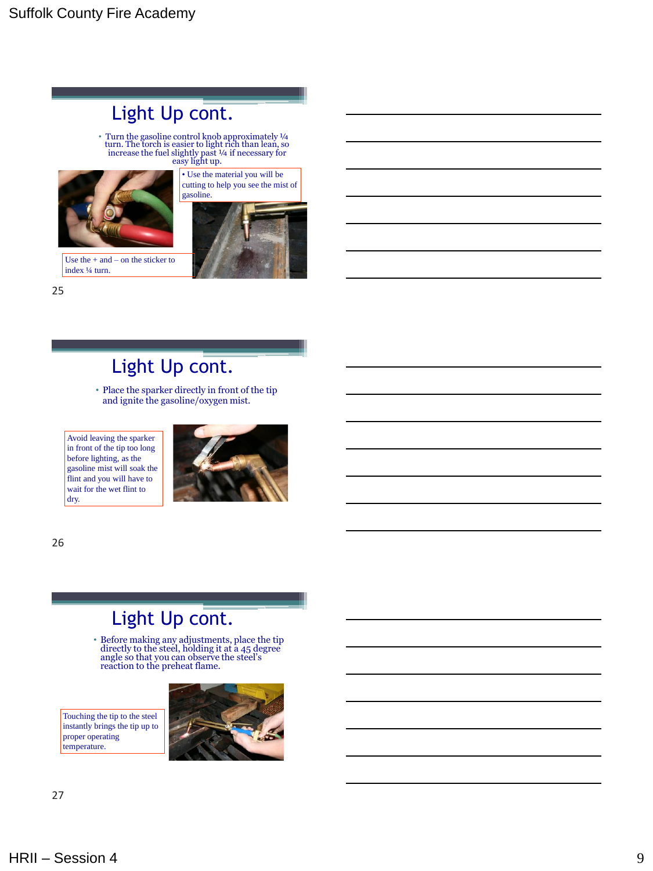## Light Up cont.

• Turn the gasoline control knob approximately ¼ turn. The torch is easier to light rich than lean, so increase the fuel slightly past ¼ if necessary for easy light up.







Use the + and – on the sticker to index ¼ turn.

25

### Light Up cont.

• Place the sparker directly in front of the tip and ignite the gasoline/oxygen mist.

Avoid leaving the sparker in front of the tip too long before lighting, as the gasoline mist will soak the flint and you will have to wait for the wet flint to dry.



26

#### Light Up cont.

• Before making any adjustments, place the tip directly to the steel, holding it at a 45 degree angle so that you can observe the steel's reaction to the preheat flame.

Touching the tip to the steel instantly brings the tip up to proper operating temperature.

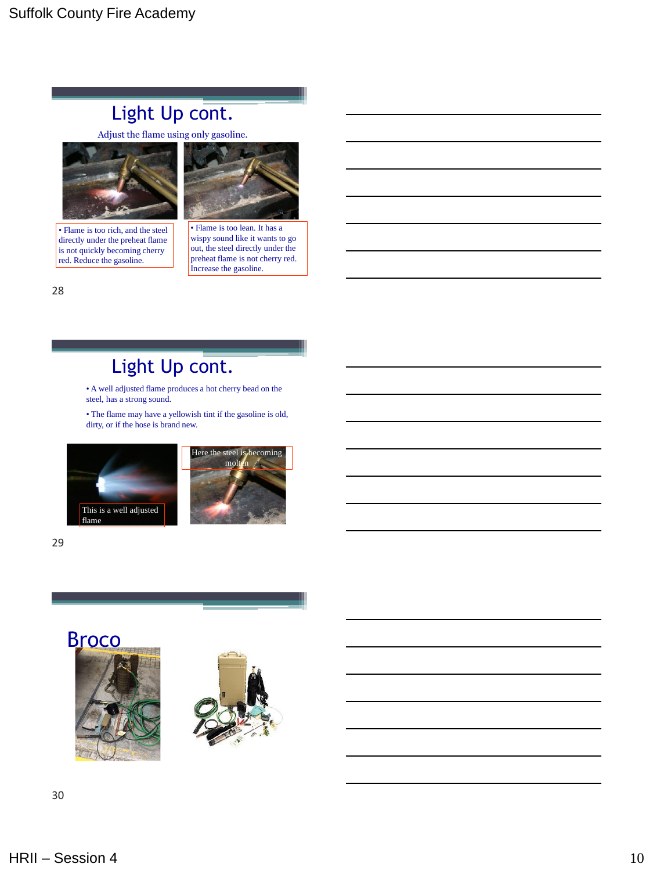### Light Up cont.

Adjust the flame using only gasoline.



• Flame is too rich, and the steel directly under the preheat flame is not quickly becoming cherry red. Reduce the gasoline.



• Flame is too lean. It has a wispy sound like it wants to go out, the steel directly under the preheat flame is not cherry red. Increase the gasoline.

28

### Light Up cont.

• A well adjusted flame produces a hot cherry bead on the steel, has a strong sound.

• The flame may have a yellowish tint if the gasoline is old, dirty, or if the hose is brand new.



29



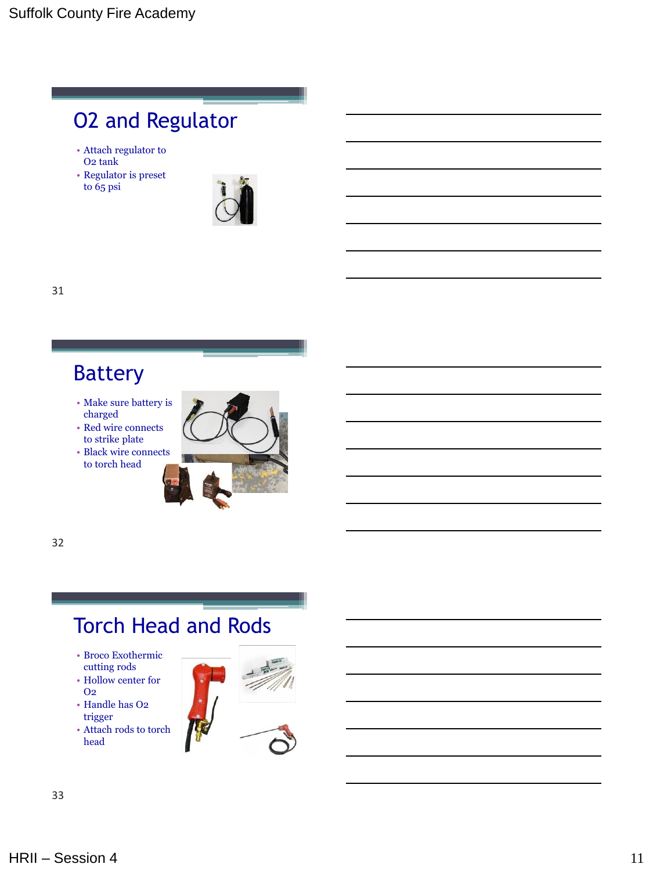## O2 and Regulator

- Attach regulator to O2 tank
- Regulator is preset to 65 psi



31

## Battery

- Make sure battery is charged
- Red wire connects to strike plate
- Black wire connects to torch head



32

## Torch Head and Rods

- Broco Exothermic cutting rods
- Hollow center for O2
- Handle has O2 trigger
- Attach rods to torch head



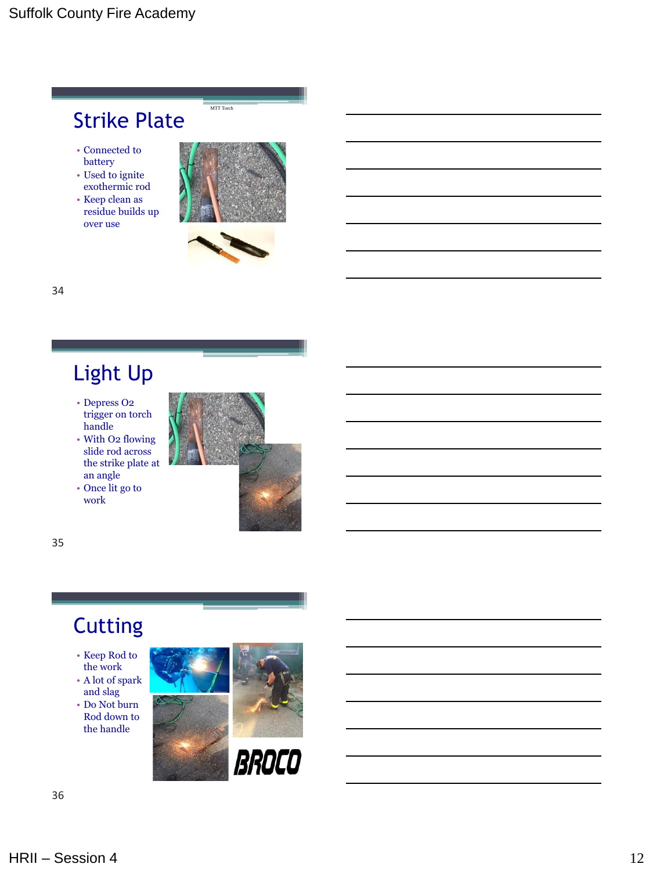

34

## Light Up

- Depress O2 trigger on torch handle
- With O2 flowing slide rod across the strike plate at an angle
- Once lit go to work



35

## Cutting

- Keep Rod to the work
- A lot of spark and slag
- Do Not burn Rod down to the handle